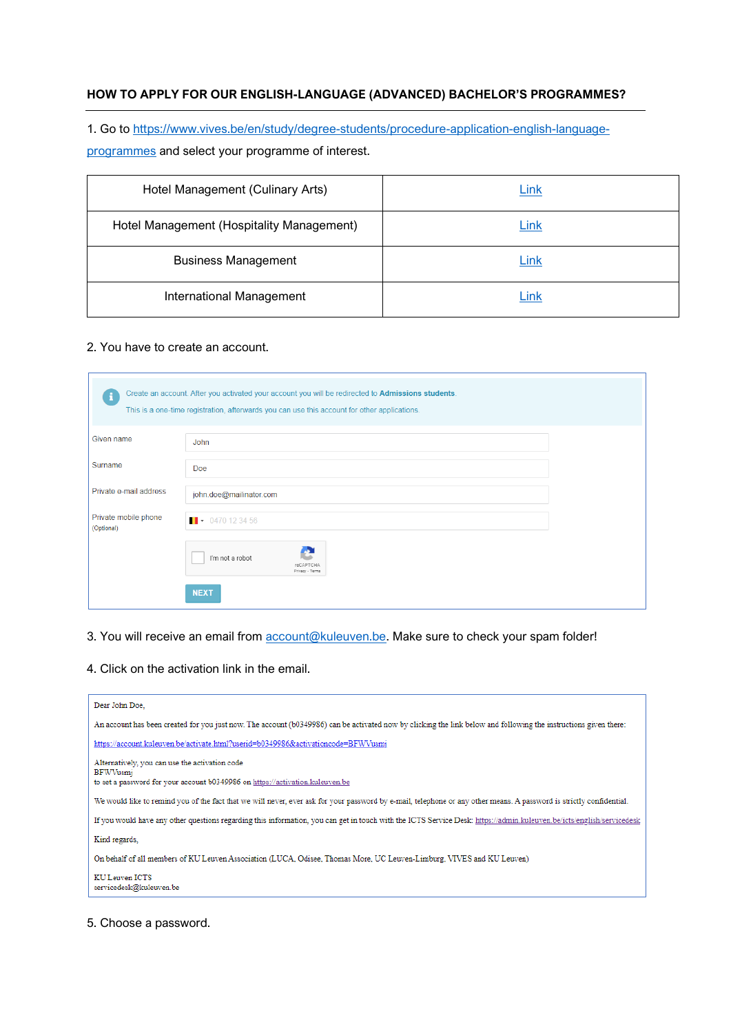# **HOW TO APPLY FOR OUR ENGLISH-LANGUAGE (ADVANCED) BACHELOR'S PROGRAMMES?**

1. Go to [https://www.vives.be/en/study/degree-students/procedure-application-english-language-](https://www.vives.be/en/study/degree-students/procedure-application-english-language-programmes)

[programmes](https://www.vives.be/en/study/degree-students/procedure-application-english-language-programmes) and select your programme of interest.

| Hotel Management (Culinary Arts)          | Link        |
|-------------------------------------------|-------------|
| Hotel Management (Hospitality Management) | <u>Link</u> |
| <b>Business Management</b>                | Link        |
| International Management                  | <b>Link</b> |

## 2. You have to create an account.

| i                                  | Create an account. After you activated your account you will be redirected to Admissions students.<br>This is a one-time registration, afterwards you can use this account for other applications. |
|------------------------------------|----------------------------------------------------------------------------------------------------------------------------------------------------------------------------------------------------|
| Given name                         | John                                                                                                                                                                                               |
| Surname                            | Doe                                                                                                                                                                                                |
| Private e-mail address             | john.doe@mailinator.com                                                                                                                                                                            |
| Private mobile phone<br>(Optional) | $\bullet$ 0470 12 34 56                                                                                                                                                                            |
|                                    | I'm not a robot<br>reCAPTCHA<br>Privacy - Terms                                                                                                                                                    |
|                                    | <b>NEXT</b>                                                                                                                                                                                        |

#### 3. You will receive an email from **account@kuleuven.be**. Make sure to check your spam folder!

4. Click on the activation link in the email.

| Dear John Doe.                                                                                                                                                        |
|-----------------------------------------------------------------------------------------------------------------------------------------------------------------------|
| An account has been created for you just now. The account (b0349986) can be activated now by clicking the link below and following the instructions given there:      |
| https://account.kuleuven.be/activate.html?userid=b0349986&activationcode=BFWVusmj                                                                                     |
| Alternatively, you can use the activation code<br><b>BFWVusmi</b><br>to set a password for your account b0349986 on https://activation.kuleuven.be                    |
| We would like to remind you of the fact that we will never, ever ask for your password by e-mail, telephone or any other means. A password is strictly confidential.  |
| If you would have any other questions regarding this information, you can get in touch with the ICTS Service Desk: https://admin.kuleuven.be/icts/english/servicedesk |
| Kind regards,                                                                                                                                                         |
| On behalf of all members of KU Leuven Association (LUCA, Odisee, Thomas More, UC Leuven-Limburg, VIVES and KU Leuven)                                                 |
| KU Leuven ICTS<br>servicedesk@kuleuven.be                                                                                                                             |

#### 5. Choose a password.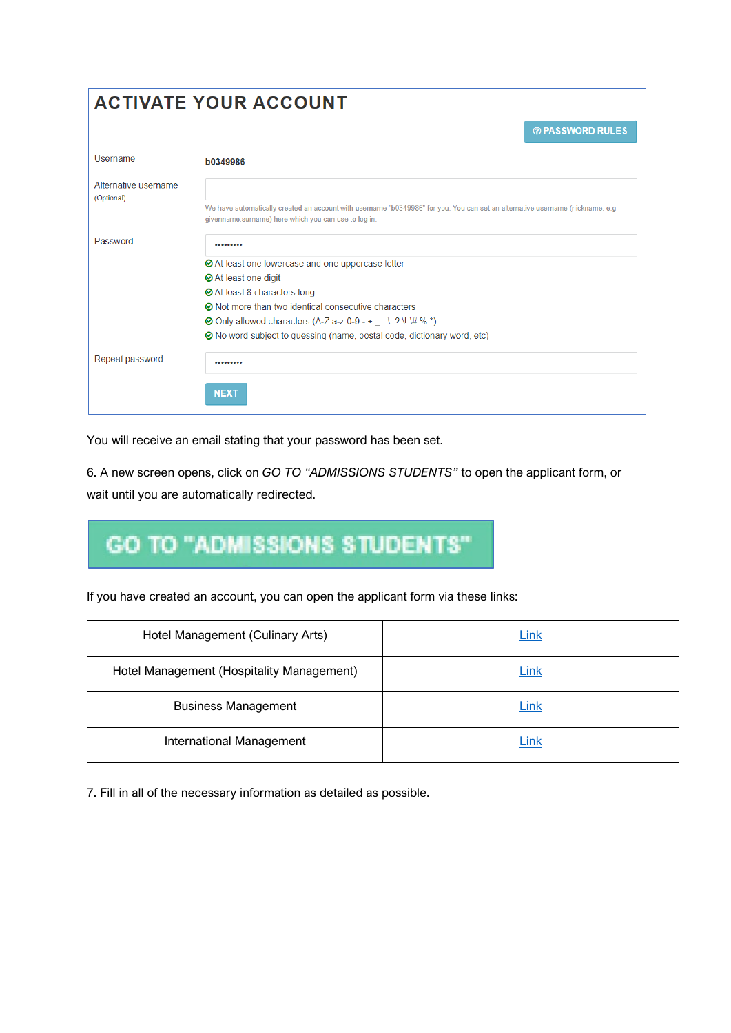| <b>ACTIVATE YOUR ACCOUNT</b>       |                                                                                                                                                                                        |  |  |
|------------------------------------|----------------------------------------------------------------------------------------------------------------------------------------------------------------------------------------|--|--|
|                                    | <b><b><i>O</i></b> PASSWORD RULES</b>                                                                                                                                                  |  |  |
| Username                           | b0349986                                                                                                                                                                               |  |  |
| Alternative username<br>(Optional) |                                                                                                                                                                                        |  |  |
|                                    | We have automatically created an account with username "b0349986" for you. You can set an alternative username (nickname, e.g.<br>givenname.surname) here which you can use to log in. |  |  |
| Password                           |                                                                                                                                                                                        |  |  |
|                                    | ⊙ At least one lowercase and one uppercase letter                                                                                                                                      |  |  |
|                                    | <b>⊘</b> At least one digit                                                                                                                                                            |  |  |
|                                    | <b>⊘</b> At least 8 characters long                                                                                                                                                    |  |  |
|                                    | ⊙ Not more than two identical consecutive characters                                                                                                                                   |  |  |
|                                    | ⊙ Only allowed characters (A-Z a-z 0-9 - + _ . \: ? \! \# % *)                                                                                                                         |  |  |
|                                    | ⊙ No word subject to guessing (name, postal code, dictionary word, etc)                                                                                                                |  |  |
| Repeat password                    |                                                                                                                                                                                        |  |  |
|                                    | <b>NEXT</b>                                                                                                                                                                            |  |  |

You will receive an email stating that your password has been set.

6. A new screen opens, click on *GO TO "ADMISSIONS STUDENTS"* to open the applicant form, or wait until you are automatically redirected.

# **GO TO "ADMISSIONS STUDENTS"**

If you have created an account, you can open the applicant form via these links:

| Hotel Management (Culinary Arts)          | <u>Link</u> |
|-------------------------------------------|-------------|
| Hotel Management (Hospitality Management) | <u>Link</u> |
| <b>Business Management</b>                | Link        |
| International Management                  | Link        |

7. Fill in all of the necessary information as detailed as possible.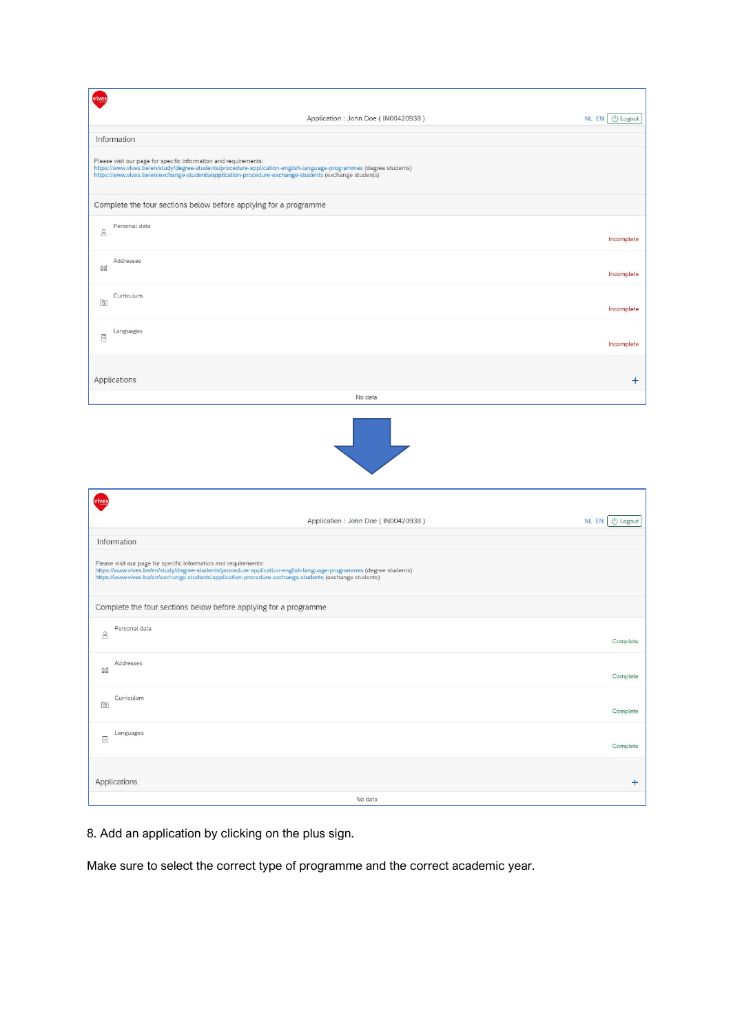|                             | Application: John Doe (IN00420938)                                                                                                                                                                                                                                                             | <b>U</b> Logout<br>NL EN |
|-----------------------------|------------------------------------------------------------------------------------------------------------------------------------------------------------------------------------------------------------------------------------------------------------------------------------------------|--------------------------|
|                             | Information                                                                                                                                                                                                                                                                                    |                          |
|                             | Please visit our page for specific information and requirements:<br>https://www.vives.be/en/study/degree-students/procedure-application-english-language-programmes (degree students)<br>https://www.vives.be/en/exchange-students/application-procedure-exchange-students (exchange students) |                          |
|                             | Complete the four sections below before applying for a programme                                                                                                                                                                                                                               |                          |
| 8                           | Personal data                                                                                                                                                                                                                                                                                  | Incomplete               |
| 命                           | Addresses                                                                                                                                                                                                                                                                                      | Incomplete               |
| Ō                           | Curriculum                                                                                                                                                                                                                                                                                     | Incomplete               |
| $\boxdot$                   | Languages                                                                                                                                                                                                                                                                                      | Incomplete               |
|                             | Applications                                                                                                                                                                                                                                                                                   | $\ddot{}$                |
|                             | No data                                                                                                                                                                                                                                                                                        |                          |
|                             | tina.<br>S                                                                                                                                                                                                                                                                                     |                          |
|                             | Application: John Doe (IN00420938)                                                                                                                                                                                                                                                             | NL EN U Logout           |
|                             | Information                                                                                                                                                                                                                                                                                    |                          |
|                             | Please visit our page for specific information and requirements:<br>https://www.vives.be/en/study/degree-students/procedure-application-english-language-programmes (degree students)<br>https://www.vives.be/en/exchange-students/application-procedure-exchange-students (exchange students) |                          |
|                             | Complete the four sections below before applying for a programme                                                                                                                                                                                                                               |                          |
| $\mathbf{S}$                | Personal data                                                                                                                                                                                                                                                                                  | Complete                 |
| $\hat{\omega} \hat{\omega}$ | Addresses                                                                                                                                                                                                                                                                                      | Complete                 |
| ō                           | Curriculum                                                                                                                                                                                                                                                                                     | Complete                 |
| $\Xi$                       | Languages                                                                                                                                                                                                                                                                                      | Complete                 |
|                             |                                                                                                                                                                                                                                                                                                |                          |
|                             | Applications                                                                                                                                                                                                                                                                                   | $\ddot{}$                |

8. Add an application by clicking on the plus sign.

Make sure to select the correct type of programme and the correct academic year.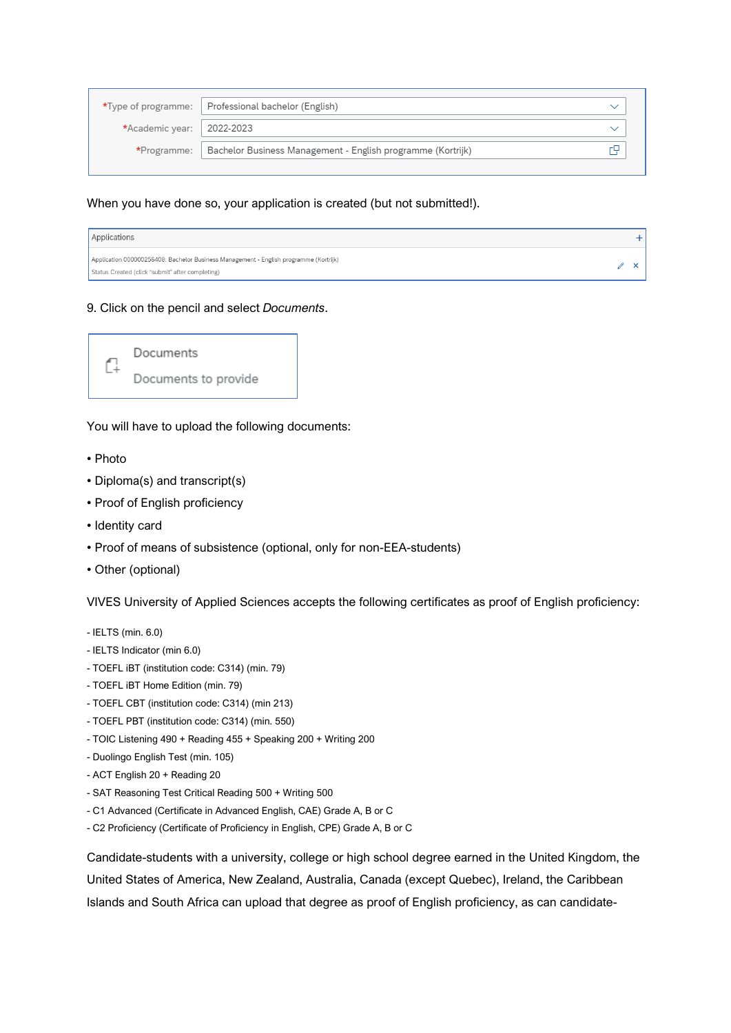|                             | *Type of programme:   Professional bachelor (English)                     |  |
|-----------------------------|---------------------------------------------------------------------------|--|
|                             |                                                                           |  |
| *Academic year:   2022-2023 |                                                                           |  |
|                             | *Programme:   Bachelor Business Management - English programme (Kortrijk) |  |
|                             |                                                                           |  |
|                             |                                                                           |  |

When you have done so, your application is created (but not submitted!).

| Applications                                                                                                                              |  |
|-------------------------------------------------------------------------------------------------------------------------------------------|--|
| Application 000000256408: Bachelor Business Management - English programme (Kortrijk)<br>Status Created (click "submit" after completing) |  |

9. Click on the pencil and select *Documents*.



You will have to upload the following documents:

- Photo
- Diploma(s) and transcript(s)
- Proof of English proficiency
- Identity card
- Proof of means of subsistence (optional, only for non-EEA-students)
- Other (optional)

VIVES University of Applied Sciences accepts the following certificates as proof of English proficiency:

- IELTS (min. 6.0)
- IELTS Indicator (min 6.0)
- TOEFL iBT (institution code: C314) (min. 79)
- TOEFL iBT Home Edition (min. 79)
- TOEFL CBT (institution code: C314) (min 213)
- TOEFL PBT (institution code: C314) (min. 550)
- TOIC Listening 490 + Reading 455 + Speaking 200 + Writing 200
- Duolingo English Test (min. 105)
- ACT English 20 + Reading 20
- SAT Reasoning Test Critical Reading 500 + Writing 500
- C1 Advanced (Certificate in Advanced English, CAE) Grade A, B or C
- C2 Proficiency (Certificate of Proficiency in English, CPE) Grade A, B or C

Candidate-students with a university, college or high school degree earned in the United Kingdom, the United States of America, New Zealand, Australia, Canada (except Quebec), Ireland, the Caribbean Islands and South Africa can upload that degree as proof of English proficiency, as can candidate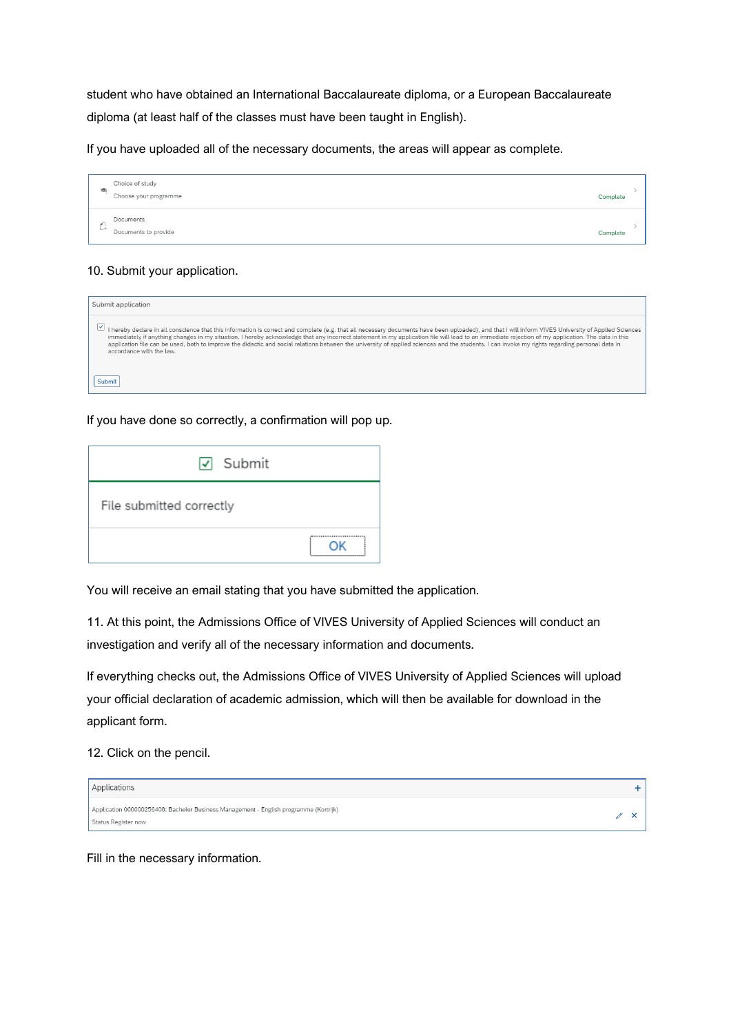student who have obtained an International Baccalaureate diploma, or a European Baccalaureate diploma (at least half of the classes must have been taught in English).

If you have uploaded all of the necessary documents, the areas will appear as complete.

|           | Choice of study<br>Choose your programme | Complete |
|-----------|------------------------------------------|----------|
| <b>L+</b> | Documents<br>Documents to provide        | Complete |

# 10. Submit your application.

| Submit application                                                                                                                                                                                                                                                                                                                                                                                                                                                                                                                                                                                                                      |
|-----------------------------------------------------------------------------------------------------------------------------------------------------------------------------------------------------------------------------------------------------------------------------------------------------------------------------------------------------------------------------------------------------------------------------------------------------------------------------------------------------------------------------------------------------------------------------------------------------------------------------------------|
| I hereby declare in all conscience that this information is correct and complete (e.g. that all necessary documents have been uploaded), and that I will inform VIVES University of Applied Sciences<br>immediately if anything changes in my situation. I hereby acknowledge that any incorrect statement in my application file will lead to an immediate rejection of my application. The data in this<br>application file can be used, both to improve the didactic and social relations between the university of applied sciences and the students. I can invoke my rights regarding personal data in<br>accordance with the law. |
| Submit                                                                                                                                                                                                                                                                                                                                                                                                                                                                                                                                                                                                                                  |

### If you have done so correctly, a confirmation will pop up.

| $\sqrt{ }$ Submit        |                                   |
|--------------------------|-----------------------------------|
| File submitted correctly |                                   |
|                          | ٦K<br>--------------------------- |

You will receive an email stating that you have submitted the application.

11. At this point, the Admissions Office of VIVES University of Applied Sciences will conduct an investigation and verify all of the necessary information and documents.

If everything checks out, the Admissions Office of VIVES University of Applied Sciences will upload your official declaration of academic admission, which will then be available for download in the applicant form.

12. Click on the pencil.

| Applications                                                                                                 |  |
|--------------------------------------------------------------------------------------------------------------|--|
| Application 000000256408: Bachelor Business Management - English programme (Kortrijk)<br>Status Register now |  |

Fill in the necessary information.